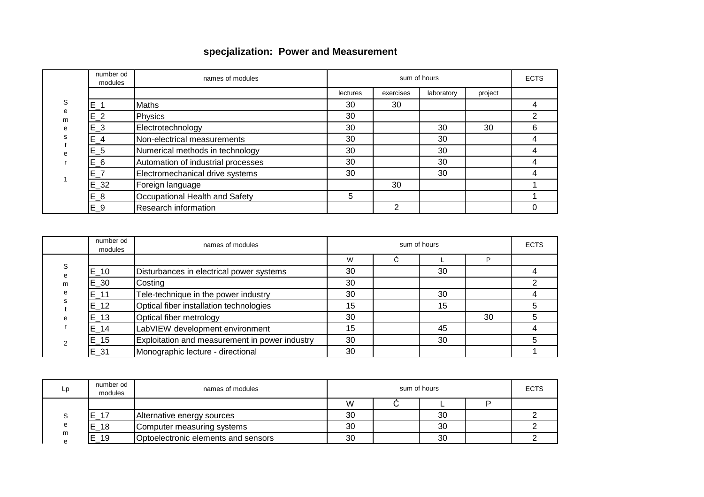## **specjalization: Power and Measurement**

|                       | number od<br>modules | names of modules                   | sum of hours |           |            |         | <b>ECTS</b> |
|-----------------------|----------------------|------------------------------------|--------------|-----------|------------|---------|-------------|
| S<br>e<br>m<br>e<br>S |                      |                                    | lectures     | exercises | laboratory | project |             |
|                       | $E_1$                | <b>Maths</b>                       | 30           | 30        |            |         |             |
|                       | $E_2$                | Physics                            | 30           |           |            |         |             |
|                       | $E_3$                | Electrotechnology                  | 30           |           | 30         | 30      | 6           |
|                       | $E_4$                | Non-electrical measurements        | 30           |           | 30         |         | 4           |
| e                     | $E_5$                | Numerical methods in technology    | 30           |           | 30         |         | 4           |
|                       | $E_6$                | Automation of industrial processes | 30           |           | 30         |         |             |
|                       | $E_7$                | Electromechanical drive systems    | 30           |           | 30         |         | 4           |
|                       | $E_32$               | Foreign language                   |              | 30        |            |         |             |
|                       | $E_8$                | Occupational Health and Safety     | 5            |           |            |         |             |
|                       | $E_9$                | Research information               |              | 2         |            |         |             |

|                       | number od<br>modules | names of modules                               |    | <b>ECTS</b> |    |    |  |
|-----------------------|----------------------|------------------------------------------------|----|-------------|----|----|--|
|                       |                      |                                                | W  | ⌒           |    | D  |  |
| S<br>e<br>m<br>e<br>e | $E_{-}10$            | Disturbances in electrical power systems       | 30 |             | 30 |    |  |
|                       | $E_30$               | Costing                                        | 30 |             |    |    |  |
|                       | $E_{-}11$            | Tele-technique in the power industry           | 30 |             | 30 |    |  |
|                       | $E_{-}12$            | Optical fiber installation technologies        | 15 |             | 15 |    |  |
|                       | $E_{13}$             | Optical fiber metrology                        | 30 |             |    | 30 |  |
|                       | $E_{-}14$            | LabVIEW development environment                | 15 |             | 45 |    |  |
|                       | $E_{15}$             | Exploitation and measurement in power industry | 30 |             | 30 |    |  |
|                       | $E_31$               | Monographic lecture - directional              | 30 |             |    |    |  |

| Lp | number od<br>modules | names of modules                    |    | <b>ECTS</b> |  |  |
|----|----------------------|-------------------------------------|----|-------------|--|--|
|    |                      |                                     | W  |             |  |  |
|    | $E_1$ 17             | Alternative energy sources          | 30 | 30          |  |  |
|    | $E_18$               | Computer measuring systems          | 30 | 30          |  |  |
| m  | $E_{19}$             | Optoelectronic elements and sensors | 30 | 30          |  |  |